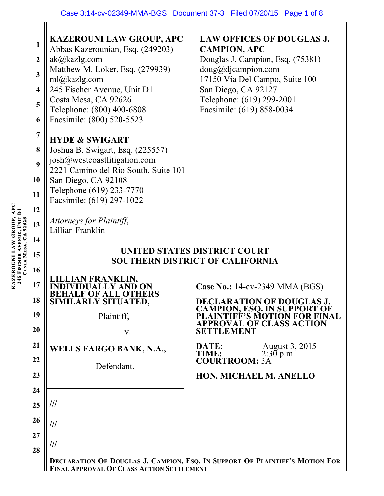| 1<br>$\overline{2}$<br>$\mathbf{3}$<br>$\overline{\mathbf{4}}$<br>5<br>6<br>$\overline{7}$<br>8<br>9<br>10<br>11<br>12<br>13<br>14 | <b>KAZEROUNI LAW GROUP, APC</b><br>Abbas Kazerounian, Esq. (249203)<br>ak@kazlg.com<br>Matthew M. Loker, Esq. (279939)<br>ml@kazlg.com<br>245 Fischer Avenue, Unit D1<br>Costa Mesa, CA 92626<br>Telephone: (800) 400-6808<br>Facsimile: (800) 520-5523<br><b>HYDE &amp; SWIGART</b><br>Joshua B. Swigart, Esq. (225557)<br>josh@westcoastlitigation.com<br>2221 Camino del Rio South, Suite 101<br>San Diego, CA 92108<br>Telephone (619) 233-7770<br>Facsimile: (619) 297-1022<br>Attorneys for Plaintiff,<br>Lillian Franklin | <b>LAW OFFICES OF DOUGLAS J.</b><br><b>CAMPION, APC</b><br>Douglas J. Campion, Esq. (75381)<br>doug@djaampion.com<br>17150 Via Del Campo, Suite 100<br>San Diego, CA 92127<br>Telephone: (619) 299-2001<br>Facsimile: (619) 858-0034                                                             |
|------------------------------------------------------------------------------------------------------------------------------------|----------------------------------------------------------------------------------------------------------------------------------------------------------------------------------------------------------------------------------------------------------------------------------------------------------------------------------------------------------------------------------------------------------------------------------------------------------------------------------------------------------------------------------|--------------------------------------------------------------------------------------------------------------------------------------------------------------------------------------------------------------------------------------------------------------------------------------------------|
| 15                                                                                                                                 | UNITED STATES DISTRICT COURT<br><b>SOUTHERN DISTRICT OF CALIFORNIA</b>                                                                                                                                                                                                                                                                                                                                                                                                                                                           |                                                                                                                                                                                                                                                                                                  |
| 16<br>17<br>18<br>19<br>20<br>21<br>22<br>23                                                                                       | AN FRANKLIN,<br>SIMILARLY SITUATED,<br>Plaintiff,<br>V.<br><b>WELLS FARGO BANK, N.A.,</b><br>Defendant.                                                                                                                                                                                                                                                                                                                                                                                                                          | <b>Case No.: 14-cv-2349 MMA (BGS)</b><br><b>DECLARATION OF DOUGLAS J.</b><br><b>CAMPION, ESQ. IN SUPPORT OF</b><br><b>FF'S MOTION FOR FINAL</b><br>VAL OF CLASS ACTION<br>SETTLEMENT<br><b>August 3, 2015</b><br>DATE:<br>TIME:<br>$2:30$ p.m.<br><b>COURTROOM: 3A</b><br>HON. MICHAEL M. ANELLO |
| 24<br>25<br>26<br>27<br>28                                                                                                         | ///<br>///<br>///<br><b>FINAL APPROVAL OF CLASS ACTION SETTLEMENT</b>                                                                                                                                                                                                                                                                                                                                                                                                                                                            | DECLARATION OF DOUGLAS J. CAMPION, ESQ. IN SUPPORT OF PLAINTIFF'S MOTION FOR                                                                                                                                                                                                                     |

**KAZEROUNI LAW GROUP, APC 245 FISCHER AVENUE, UNIT D1 COSTA MESA, CA 92626**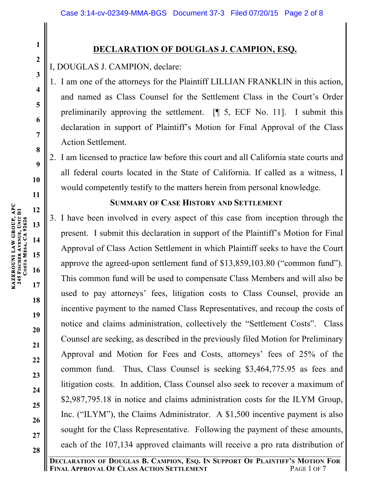# **DECLARATION OF DOUGLAS J. CAMPION, ESQ.**

I, DOUGLAS J. CAMPION, declare:

- 1. I am one of the attorneys for the Plaintiff LILLIAN FRANKLIN in this action, and named as Class Counsel for the Settlement Class in the Court's Order preliminarily approving the settlement. [¶ 5, ECF No. 11]. I submit this declaration in support of Plaintiff's Motion for Final Approval of the Class Action Settlement.
- 2. I am licensed to practice law before this court and all California state courts and all federal courts located in the State of California. If called as a witness, I would competently testify to the matters herein from personal knowledge.

## **SUMMARY OF CASE HISTORY AND SETTLEMENT**

3. I have been involved in every aspect of this case from inception through the present. I submit this declaration in support of the Plaintiff's Motion for Final Approval of Class Action Settlement in which Plaintiff seeks to have the Court approve the agreed-upon settlement fund of \$13,859,103.80 ("common fund"). This common fund will be used to compensate Class Members and will also be used to pay attorneys' fees, litigation costs to Class Counsel, provide an incentive payment to the named Class Representatives, and recoup the costs of notice and claims administration, collectively the "Settlement Costs". Class Counsel are seeking, as described in the previously filed Motion for Preliminary Approval and Motion for Fees and Costs, attorneys' fees of 25% of the common fund. Thus, Class Counsel is seeking \$3,464,775.95 as fees and litigation costs. In addition, Class Counsel also seek to recover a maximum of \$2,987,795.18 in notice and claims administration costs for the ILYM Group, Inc. ("ILYM"), the Claims Administrator. A \$1,500 incentive payment is also sought for the Class Representative. Following the payment of these amounts, each of the 107,134 approved claimants will receive a pro rata distribution of

**1**

**2**

**3**

**4**

**5**

**6**

**7**

**8**

**9**

**10**

**11**

**12**

**13**

**14**

**15**

**16**

**17**

**18**

**19**

**20**

**21**

**22**

**23**

**24**

**25**

**26**

**27**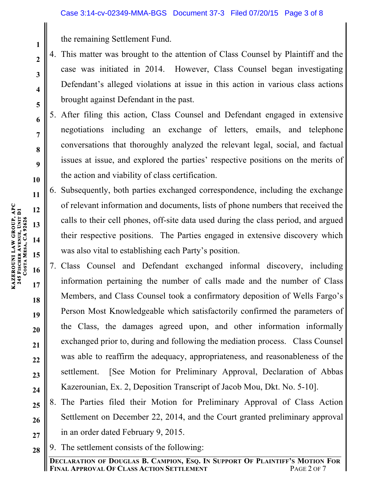the remaining Settlement Fund.

- 4. This matter was brought to the attention of Class Counsel by Plaintiff and the case was initiated in 2014. However, Class Counsel began investigating Defendant's alleged violations at issue in this action in various class actions brought against Defendant in the past.
- 5. After filing this action, Class Counsel and Defendant engaged in extensive negotiations including an exchange of letters, emails, and telephone conversations that thoroughly analyzed the relevant legal, social, and factual issues at issue, and explored the parties' respective positions on the merits of the action and viability of class certification.
- 6. Subsequently, both parties exchanged correspondence, including the exchange of relevant information and documents, lists of phone numbers that received the calls to their cell phones, off-site data used during the class period, and argued their respective positions. The Parties engaged in extensive discovery which was also vital to establishing each Party's position.
- 7. Class Counsel and Defendant exchanged informal discovery, including information pertaining the number of calls made and the number of Class Members, and Class Counsel took a confirmatory deposition of Wells Fargo's Person Most Knowledgeable which satisfactorily confirmed the parameters of the Class, the damages agreed upon, and other information informally exchanged prior to, during and following the mediation process. Class Counsel was able to reaffirm the adequacy, appropriateness, and reasonableness of the settlement. [See Motion for Preliminary Approval, Declaration of Abbas Kazerounian, Ex. 2, Deposition Transcript of Jacob Mou, Dkt. No. 5-10].
- **25 26 27** 8. The Parties filed their Motion for Preliminary Approval of Class Action Settlement on December 22, 2014, and the Court granted preliminary approval in an order dated February 9, 2015.
- **28** 9. The settlement consists of the following:

**1**

**2**

**3**

**4**

**5**

**6**

**7**

**8**

**9**

**10**

**11**

**12**

**13**

**14**

**15**

**16**

**17**

**18**

**19**

**20**

**21**

**22**

**23**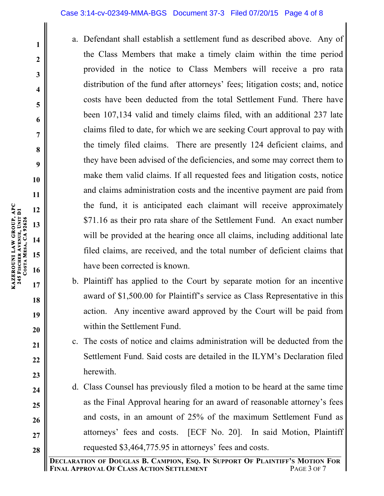### Case 3:14-cv-02349-MMA-BGS Document 37-3 Filed 07/20/15 Page 4 of 8

- a. Defendant shall establish a settlement fund as described above. Any of the Class Members that make a timely claim within the time period provided in the notice to Class Members will receive a pro rata distribution of the fund after attorneys' fees; litigation costs; and, notice costs have been deducted from the total Settlement Fund. There have been 107,134 valid and timely claims filed, with an additional 237 late claims filed to date, for which we are seeking Court approval to pay with the timely filed claims. There are presently 124 deficient claims, and they have been advised of the deficiencies, and some may correct them to make them valid claims. If all requested fees and litigation costs, notice and claims administration costs and the incentive payment are paid from the fund, it is anticipated each claimant will receive approximately \$71.16 as their pro rata share of the Settlement Fund. An exact number will be provided at the hearing once all claims, including additional late filed claims, are received, and the total number of deficient claims that have been corrected is known.
- b. Plaintiff has applied to the Court by separate motion for an incentive award of \$1,500.00 for Plaintiff's service as Class Representative in this action. Any incentive award approved by the Court will be paid from within the Settlement Fund.
- c. The costs of notice and claims administration will be deducted from the Settlement Fund. Said costs are detailed in the ILYM's Declaration filed herewith.
- d. Class Counsel has previously filed a motion to be heard at the same time as the Final Approval hearing for an award of reasonable attorney's fees and costs, in an amount of 25% of the maximum Settlement Fund as attorneys' fees and costs. [ECF No. 20]. In said Motion, Plaintiff requested \$3,464,775.95 in attorneys' fees and costs.

**KAZEROUNI LAW GROUP, APC** 

**245 FISCHER** 

**COSTA** 

**MESA, CA 92626** 

**AVENUE, UNIT D1**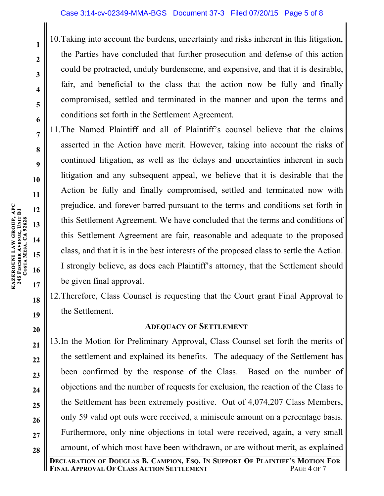10.Taking into account the burdens, uncertainty and risks inherent in this litigation, the Parties have concluded that further prosecution and defense of this action could be protracted, unduly burdensome, and expensive, and that it is desirable, fair, and beneficial to the class that the action now be fully and finally compromised, settled and terminated in the manner and upon the terms and conditions set forth in the Settlement Agreement.

11.The Named Plaintiff and all of Plaintiff's counsel believe that the claims asserted in the Action have merit. However, taking into account the risks of continued litigation, as well as the delays and uncertainties inherent in such litigation and any subsequent appeal, we believe that it is desirable that the Action be fully and finally compromised, settled and terminated now with prejudice, and forever barred pursuant to the terms and conditions set forth in this Settlement Agreement. We have concluded that the terms and conditions of this Settlement Agreement are fair, reasonable and adequate to the proposed class, and that it is in the best interests of the proposed class to settle the Action. I strongly believe, as does each Plaintiff's attorney, that the Settlement should be given final approval.

12.Therefore, Class Counsel is requesting that the Court grant Final Approval to the Settlement.

# **ADEQUACY OF SETTLEMENT**

13.In the Motion for Preliminary Approval, Class Counsel set forth the merits of the settlement and explained its benefits. The adequacy of the Settlement has been confirmed by the response of the Class. Based on the number of objections and the number of requests for exclusion, the reaction of the Class to the Settlement has been extremely positive. Out of 4,074,207 Class Members, only 59 valid opt outs were received, a miniscule amount on a percentage basis. Furthermore, only nine objections in total were received, again, a very small amount, of which most have been withdrawn, or are without merit, as explained

**1**

**2**

**3**

**4**

**5**

**6**

**7**

**8**

**9**

**10**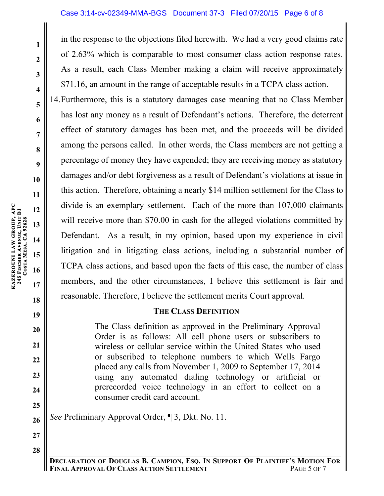### Case 3:14-cv-02349-MMA-BGS Document 37-3 Filed 07/20/15 Page 6 of 8

in the response to the objections filed herewith. We had a very good claims rate of 2.63% which is comparable to most consumer class action response rates. As a result, each Class Member making a claim will receive approximately \$71.16, an amount in the range of acceptable results in a TCPA class action.

14.Furthermore, this is a statutory damages case meaning that no Class Member has lost any money as a result of Defendant's actions. Therefore, the deterrent effect of statutory damages has been met, and the proceeds will be divided among the persons called. In other words, the Class members are not getting a percentage of money they have expended; they are receiving money as statutory damages and/or debt forgiveness as a result of Defendant's violations at issue in this action. Therefore, obtaining a nearly \$14 million settlement for the Class to divide is an exemplary settlement. Each of the more than 107,000 claimants will receive more than \$70.00 in cash for the alleged violations committed by Defendant. As a result, in my opinion, based upon my experience in civil litigation and in litigating class actions, including a substantial number of TCPA class actions, and based upon the facts of this case, the number of class members, and the other circumstances, I believe this settlement is fair and reasonable. Therefore, I believe the settlement merits Court approval.

### **THE CLASS DEFINITION**

The Class definition as approved in the Preliminary Approval Order is as follows: All cell phone users or subscribers to wireless or cellular service within the United States who used or subscribed to telephone numbers to which Wells Fargo placed any calls from November 1, 2009 to September 17, 2014 using any automated dialing technology or artificial or prerecorded voice technology in an effort to collect on a consumer credit card account.

*See* Preliminary Approval Order, ¶ 3, Dkt. No. 11.

**1**

**2**

**3**

**4**

**5**

**6**

**7**

**8**

**9**

**19**

**20**

**21**

**22**

**23**

**24**

**25**

**26**

**27**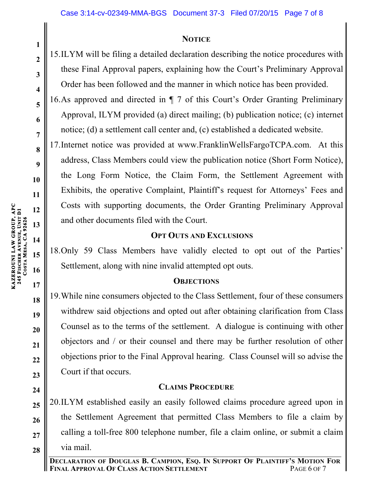### **NOTICE**

15.ILYM will be filing a detailed declaration describing the notice procedures with these Final Approval papers, explaining how the Court's Preliminary Approval Order has been followed and the manner in which notice has been provided.

16.As approved and directed in ¶ 7 of this Court's Order Granting Preliminary Approval, ILYM provided (a) direct mailing; (b) publication notice; (c) internet notice; (d) a settlement call center and, (c) established a dedicated website.

17.Internet notice was provided at www.FranklinWellsFargoTCPA.com. At this address, Class Members could view the publication notice (Short Form Notice), the Long Form Notice, the Claim Form, the Settlement Agreement with Exhibits, the operative Complaint, Plaintiff's request for Attorneys' Fees and Costs with supporting documents, the Order Granting Preliminary Approval and other documents filed with the Court.

## **OPT OUTS AND EXCLUSIONS**

18.Only 59 Class Members have validly elected to opt out of the Parties' Settlement, along with nine invalid attempted opt outs.

### **OBJECTIONS**

19.While nine consumers objected to the Class Settlement, four of these consumers withdrew said objections and opted out after obtaining clarification from Class Counsel as to the terms of the settlement. A dialogue is continuing with other objectors and / or their counsel and there may be further resolution of other objections prior to the Final Approval hearing. Class Counsel will so advise the Court if that occurs.

# **CLAIMS PROCEDURE**

**28** 20.ILYM established easily an easily followed claims procedure agreed upon in the Settlement Agreement that permitted Class Members to file a claim by calling a toll-free 800 telephone number, file a claim online, or submit a claim via mail.

**KAZEROUNI LAW GROUP, APC** 

**245 FISCHER** 

**COSTA** 

**AVENUE, UNIT D1**